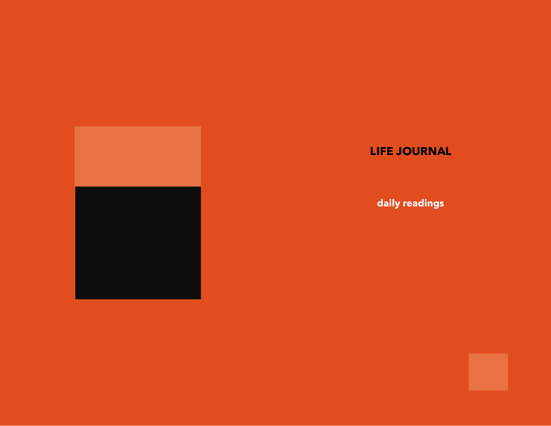

## **LIFE JOURNAL**

**daily readings**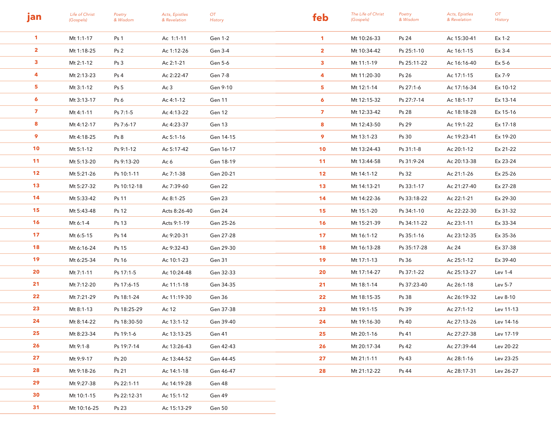| jan             | Life of Christ<br>(Gospels) | Poetry<br>& Wisdom | Acts, Epistles<br>& Revelation | OT<br>History | feb             | The Life of Christ<br>(Gospels) | Poetry<br>& Wisdom | Acts, Epistles<br>& Revelation | OT<br>History |
|-----------------|-----------------------------|--------------------|--------------------------------|---------------|-----------------|---------------------------------|--------------------|--------------------------------|---------------|
| $\mathbf{1}$    | Mt 1:1-17                   | Ps <sub>1</sub>    | Ac 1:1-11                      | Gen 1-2       | $\mathbf{1}$    | Mt 10:26-33                     | Ps 24              | Ac 15:30-41                    | Ex 1-2        |
| $\mathbf{2}$    | Mt 1:18-25                  | Ps <sub>2</sub>    | Ac 1:12-26                     | Gen 3-4       | $\mathbf{2}$    | Mt 10:34-42                     | Ps 25:1-10         | Ac 16:1-15                     | Ex 3-4        |
| $\mathbf{3}$    | Mt 2:1-12                   | Ps <sub>3</sub>    | Ac 2:1-21                      | Gen 5-6       | $\mathbf{3}$    | Mt 11:1-19                      | Ps 25:11-22        | Ac 16:16-40                    | Ex 5-6        |
| 4               | Mt 2:13-23                  | Ps 4               | Ac 2:22-47                     | Gen 7-8       | 4               | Mt 11:20-30                     | Ps 26              | Ac 17:1-15                     | Ex 7-9        |
| 5 <sub>1</sub>  | Mt 3:1-12                   | Ps <sub>5</sub>    | Ac 3                           | Gen 9-10      | 5.              | Mt 12:1-14                      | Ps 27:1-6          | Ac 17:16-34                    | Ex 10-12      |
| $\epsilon$      | Mt 3:13-17                  | Ps 6               | Ac 4:1-12                      | Gen 11        | 6               | Mt 12:15-32                     | Ps 27:7-14         | Ac 18:1-17                     | Ex 13-14      |
| $\mathbf{z}$    | Mt 4:1-11                   | Ps 7:1-5           | Ac 4:13-22                     | Gen 12        | $\overline{ }$  | Mt 12:33-42                     | Ps 28              | Ac 18:18-28                    | Ex 15-16      |
| 8               | Mt 4:12-17                  | Ps 7:6-17          | Ac 4:23-37                     | Gen 13        | 8               | Mt 12:43-50                     | Ps 29              | Ac 19:1-22                     | Ex 17-18      |
| 9               | Mt 4:18-25                  | Ps <sub>8</sub>    | Ac 5:1-16                      | Gen 14-15     | 9               | Mt 13:1-23                      | Ps 30              | Ac 19:23-41                    | Ex 19-20      |
| 10 <sub>1</sub> | Mt 5:1-12                   | Ps 9:1-12          | Ac 5:17-42                     | Gen 16-17     | 10              | Mt 13:24-43                     | Ps 31:1-8          | Ac 20:1-12                     | Ex 21-22      |
| 11              | Mt 5:13-20                  | Ps 9:13-20         | Ac 6                           | Gen 18-19     | 11              | Mt 13:44-58                     | Ps 31:9-24         | Ac 20:13-38                    | Ex 23-24      |
| 12 <sub>2</sub> | Mt 5:21-26                  | Ps 10:1-11         | Ac 7:1-38                      | Gen 20-21     | 12 <sub>2</sub> | Mt 14:1-12                      | Ps 32              | Ac 21:1-26                     | Ex 25-26      |
| 13              | Mt 5:27-32                  | Ps 10:12-18        | Ac 7:39-60                     | Gen 22        | 13              | Mt 14:13-21                     | Ps 33:1-17         | Ac 21:27-40                    | Ex 27-28      |
| 14              | Mt 5:33-42                  | Ps 11              | Ac 8:1-25                      | Gen 23        | 14              | Mt 14:22-36                     | Ps 33:18-22        | Ac 22:1-21                     | Ex 29-30      |
| 15              | Mt 5:43-48                  | Ps 12              | Acts 8:26-40                   | Gen 24        | 15              | Mt 15:1-20                      | Ps 34:1-10         | Ac 22:22-30                    | Ex 31-32      |
| 16              | Mt 6:1-4                    | Ps 13              | Acts 9:1-19                    | Gen 25-26     | 16              | Mt 15:21-39                     | Ps 34:11-22        | Ac 23:1-11                     | Ex 33-34      |
| 17 <sub>2</sub> | Mt 6:5-15                   | Ps 14              | Ac 9:20-31                     | Gen 27-28     | 17              | Mt 16:1-12                      | Ps 35:1-16         | Ac 23:12-35                    | Ex 35-36      |
| 18              | Mt 6:16-24                  | Ps 15              | Ac 9:32-43                     | Gen 29-30     | 18              | Mt 16:13-28                     | Ps 35:17-28        | Ac 24                          | Ex 37-38      |
| 19              | Mt 6:25-34                  | Ps 16              | Ac 10:1-23                     | Gen 31        | 19              | Mt 17:1-13                      | Ps 36              | Ac 25:1-12                     | Ex 39-40      |
| 20              | Mt 7:1-11                   | Ps 17:1-5          | Ac 10:24-48                    | Gen 32-33     | 20              | Mt 17:14-27                     | Ps 37:1-22         | Ac 25:13-27                    | Lev 1-4       |
| 21              | Mt 7:12-20                  | Ps 17:6-15         | Ac 11:1-18                     | Gen 34-35     | 21              | Mt 18:1-14                      | Ps 37:23-40        | Ac 26:1-18                     | Lev 5-7       |
| 22              | Mt 7:21-29                  | Ps 18:1-24         | Ac 11:19-30                    | Gen 36        | 22              | Mt 18:15-35                     | Ps 38              | Ac 26:19-32                    | Lev 8-10      |
| 23              | Mt 8:1-13                   | Ps 18:25-29        | Ac 12                          | Gen 37-38     | 23              | Mt 19:1-15                      | Ps 39              | Ac 27:1-12                     | Lev 11-13     |
| 24              | Mt 8:14-22                  | Ps 18:30-50        | Ac 13:1-12                     | Gen 39-40     | 24              | Mt 19:16-30                     | Ps 40              | Ac 27:13-26                    | Lev 14-16     |
| 25              | Mt 8:23-34                  | Ps 19:1-6          | Ac 13:13-25                    | Gen 41        | 25              | Mt 20:1-16                      | Ps 41              | Ac 27:27-38                    | Lev 17-19     |
| 26              | Mt 9:1-8                    | Ps 19:7-14         | Ac 13:26-43                    | Gen 42-43     | 26              | Mt 20:17-34                     | Ps 42              | Ac 27:39-44                    | Lev 20-22     |
| 27              | Mt 9:9-17                   | Ps 20              | Ac 13:44-52                    | Gen 44-45     | 27              | Mt 21:1-11                      | Ps 43              | Ac 28:1-16                     | Lev 23-25     |
| 28              | Mt 9:18-26                  | Ps 21              | Ac 14:1-18                     | Gen 46-47     | 28              | Mt 21:12-22                     | Ps 44              | Ac 28:17-31                    | Lev 26-27     |
| 29              | Mt 9:27-38                  | Ps 22:1-11         | Ac 14:19-28                    | Gen 48        |                 |                                 |                    |                                |               |
| 30              | Mt 10:1-15                  | Ps 22:12-31        | Ac 15:1-12                     | Gen 49        |                 |                                 |                    |                                |               |
| 31              | Mt 10:16-25                 | Ps 23              | Ac 15:13-29                    | Gen 50        |                 |                                 |                    |                                |               |
|                 |                             |                    |                                |               |                 |                                 |                    |                                |               |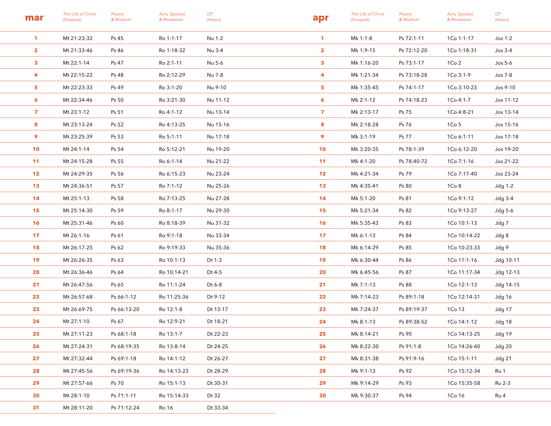| mar             | The Life of Christ<br>(Gospels) | Poetry<br>& Wisdom | Acts, Epistles<br>& Revelation | OT<br>History | apr             | The Life of Christ<br>(Gospels) | Poetry<br>& Wisdom | Acts, Epistles<br>& Revelation | OT<br><b>History</b> |
|-----------------|---------------------------------|--------------------|--------------------------------|---------------|-----------------|---------------------------------|--------------------|--------------------------------|----------------------|
| $\mathbf{1}$    | Mt 21:23-32                     | Ps 45              | Ro 1:1-17                      | Nu 1-2        | $\mathbf{1}$    | Mk 1:1-8                        | Ps 72:1-11         | 1Co 1:1-17                     | $Jos1-2$             |
| $\mathbf{2}$    | Mt 21:33-46                     | Ps 46              | Ro 1:18-32                     | Nu 3-4        | $\mathbf{2}$    | Mk 1:9-15                       | Ps 72:12-20        | 1Co 1:18-31                    | $Jos 3-4$            |
| $\mathbf{3}$    | Mt 22:1-14                      | Ps 47              | Ro 2:1-11                      | Nu 5-6        | 3               | Mk 1:16-20                      | Ps 73:1-17         | 1Co <sub>2</sub>               | Jos $5-6$            |
| 4               | Mt 22:15-22                     | Ps 48              | Ro 2:12-29                     | Nu 7-8        | 4               | Mk 1:21-34                      | Ps 73:18-28        | 1Co 3:1-9                      | Jos 7-8              |
| 5 <sub>5</sub>  | Mt 22:23-33                     | Ps 49              | Ro 3:1-20                      | Nu 9-10       | 5               | Mk 1:35-45                      | Ps 74:1-17         | 1Co 3:10-23                    | Jos 9-10             |
| 6               | Mt 22:34-46                     | Ps 50              | Ro 3:21-30                     | Nu 11-12      | 6               | Mk 2:1-12                       | Ps 74:18-23        | 1Co 4:1-7                      | Jos 11-12            |
| $\mathbf{7}$    | Mt 23:1-12                      | Ps 51              | Ro 4:1-12                      | Nu 13-14      | $\overline{z}$  | Mk 2:13-17                      | Ps 75              | 1Co 4:8-21                     | Jos 13-14            |
| 8               | Mt 23:13-24                     | Ps 52              | Ro 4:13-25                     | Nu 15-16      | 8               | Mk 2:18-28                      | Ps 76              | 1Co <sub>5</sub>               | Jos 15-16            |
| 9               | Mt 23:25-39                     | Ps 53              | Ro 5:1-11                      | Nu 17-18      | 9               | Mk 3:1-19                       | Ps 77              | 1Co 6:1-11                     | Jos 17-18            |
| 10 <sup>°</sup> | Mt 24:1-14                      | Ps 54              | Ro 5:12-21                     | Nu 19-20      | 10              | Mk 3:20-35                      | Ps 78:1-39         | 1Co 6:12-20                    | Jos 19-20            |
| 11              | Mt 24:15-28                     | Ps 55              | Ro 6:1-14                      | Nu 21-22      | 11              | Mk 4:1-20                       | Ps 78:40-72        | 1Co 7:1-16                     | Jos 21-22            |
| 12              | Mt 24:29-35                     | Ps 56              | Ro 6:15-23                     | Nu 23-24      | 12 <sub>2</sub> | Mk 4:21-34                      | Ps 79              | 1Co 7:17-40                    | Jos 23-24            |
| 13              | Mt 24:36-51                     | Ps 57              | Ro 7:1-12                      | Nu 25-26      | 13              | Mk 4:35-41                      | Ps 80              | 1Co <sub>8</sub>               | Jdg 1-2              |
| 14              | Mt 25:1-13                      | Ps 58              | Ro 7:13-25                     | Nu 27-28      | 14              | Mk 5:1-20                       | Ps 81              | 1Co 9:1-12                     | Jdg 3-4              |
| 15              | Mt 25:14-30                     | Ps 59              | Ro 8:1-17                      | Nu 29-30      | 15              | Mk 5:21-34                      | Ps 82              | 1Co 9:13-27                    | Jdg 5-6              |
| 16              | Mt 25:31-46                     | Ps 60              | Ro 8:18-39                     | Nu 31-32      | 16              | Mk 5:35-43                      | Ps 83              | 1Co 10:1-13                    | Jdg 7                |
| 17              | Mt 26:1-16                      | Ps 61              | Ro 9:1-18                      | Nu 33-34      | 17              | Mk 6:1-13                       | Ps 84              | 1Co 10:14-22                   | Jdg 8                |
| 18              | Mt 26:17-25                     | Ps 62              | Ro 9:19-33                     | Nu 35-36      | 18              | Mk 6:14-29                      | Ps 85              | 1Co 10:23-33                   | Jdg 9                |
| 19              | Mt 26:26-35                     | Ps 63              | Ro 10:1-13                     | Dt 1-3        | 19              | Mk 6:30-44                      | Ps 86              | 1Co 11:1-16                    | Jdg 10-11            |
| 20              | Mt 26:36-46                     | Ps 64              | Ro 10:14-21                    | Dt 4-5        | 20              | Mk 6:45-56                      | Ps 87              | 1Co 11:17-34                   | Jdg 12-13            |
| 21              | Mt 26:47-56                     | Ps 65              | Ro 11:1-24                     | Dt 6-8        | 21              | Mk 7:1-13                       | Ps 88              | 1Co 12:1-13                    | Jdg 14-15            |
| 22              | Mt 26:57-68                     | Ps 66:1-12         | Ro 11:25-36                    | Dt 9-12       | $22 \,$         | Mk 7:14-23                      | Ps 89:1-18         | 1Co 12:14-31                   | Jdg 16               |
| 23              | Mt 26:69-75                     | Ps 66:13-20        | Ro 12:1-8                      | Dt 13-17      | 23              | Mk 7:24-37                      | Ps 89:19-37        | 1Co 13                         | Jdg 17               |
| 24              | Mt 27:1-10                      | Ps 67              | Ro 12:9-21                     | Dt 18-21      | 24              | Mk 8:1-13                       | Ps 89:38-52        | 1Co 14:1-12                    | Jdg 18               |
| 25              | Mt 27:11-23                     | Ps 68:1-18         | Ro 13:1-7                      | Dt 22-23      | 25              | Mk 8:14-21                      | Ps 90              | 1Co 14:13-25                   | Jdg 19               |
| 26              | Mt 27:24-31                     | Ps 68:19-35        | Ro 13:8-14                     | Dt 24-25      | 26              | Mk 8:22-30                      | Ps 91:1-8          | 1Co 14:26-40                   | Jdg 20               |
| 27              | Mt 27:32-44                     | Ps 69:1-18         | Ro 14:1-12                     | Dt 26-27      | 27 <sub>2</sub> | Mk 8:31-38                      | Ps 91:9-16         | 1Co 15:1-11                    | Jdg 21               |
| 28              | Mt 27:45-56                     | Ps 69:19-36        | Ro 14:13-23                    | Dt 28-29      | 28              | Mk 9:1-13                       | Ps 92              | 1Co 15:12-34                   | Ru 1                 |
| 29              | Mt 27:57-66                     | Ps 70              | Ro 15:1-13                     | Dt 30-31      | 29              | Mk 9:14-29                      | Ps 93              | 1Co 15:35-58                   | Ru 2-3               |
| 30              | Mt 28:1-10                      | Ps 71:1-11         | Ro 15:14-33                    | Dt 32         | 30              | Mk 9:30-37                      | Ps 94              | 1Co 16                         | Ru 4                 |
| 31              | Mt 28:11-20                     | Ps 71:12-24        | <b>Ro 16</b>                   | Dt 33-34      |                 |                                 |                    |                                |                      |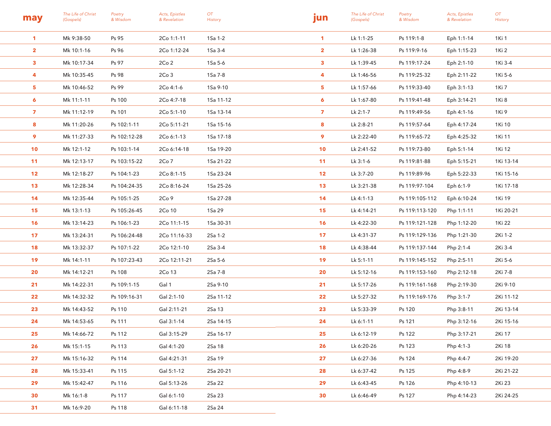| may             | The Life of Christ<br>(Gospels) | Poetry<br>& Wisdom | Acts, Epistles<br>& Revelation | OT<br>History | jun             | The Life of Christ<br>(Gospels) | Poetry<br>& Wisdom | Acts, Epistles<br>& Revelation | OT<br>History |
|-----------------|---------------------------------|--------------------|--------------------------------|---------------|-----------------|---------------------------------|--------------------|--------------------------------|---------------|
| $\mathbf{1}$    | Mk 9:38-50                      | Ps 95              | 2Co 1:1-11                     | 1Sa 1-2       | $\mathbf{1}$    | Lk 1:1-25                       | Ps 119:1-8         | Eph 1:1-14                     | 1Ki 1         |
| $\mathbf{2}$    | Mk 10:1-16                      | Ps 96              | 2Co 1:12-24                    | 1Sa 3-4       | $\mathbf{2}$    | Lk 1:26-38                      | Ps 119:9-16        | Eph 1:15-23                    | 1Ki 2         |
| $\mathbf{3}$    | Mk 10:17-34                     | Ps 97              | 2Co <sub>2</sub>               | 1Sa 5-6       | $\mathbf{3}$    | Lk 1:39-45                      | Ps 119:17-24       | Eph 2:1-10                     | 1Ki 3-4       |
| 4               | Mk 10:35-45                     | Ps 98              | 2Co <sub>3</sub>               | 1Sa 7-8       | 4               | Lk 1:46-56                      | Ps 119:25-32       | Eph 2:11-22                    | 1Ki 5-6       |
| 5               | Mk 10:46-52                     | Ps 99              | 2Co 4:1-6                      | 1Sa 9-10      | 5               | Lk 1:57-66                      | Ps 119:33-40       | Eph 3:1-13                     | 1Ki 7         |
| 6               | Mk 11:1-11                      | Ps 100             | 2Co 4:7-18                     | 1Sa 11-12     | 6               | Lk 1:67-80                      | Ps 119:41-48       | Eph 3:14-21                    | 1Ki 8         |
| $\mathbf{z}$    | Mk 11:12-19                     | Ps 101             | 2Co 5:1-10                     | 1Sa 13-14     | $\overline{z}$  | Lk 2:1-7                        | Ps 119:49-56       | Eph 4:1-16                     | 1Ki 9         |
| 8               | Mk 11:20-26                     | Ps 102:1-11        | 2Co 5:11-21                    | 1Sa 15-16     | 8               | Lk 2:8-21                       | Ps 119:57-64       | Eph 4:17-24                    | 1Ki 10        |
| 9               | Mk 11:27-33                     | Ps 102:12-28       | 2Co 6:1-13                     | 1Sa 17-18     | 9               | Lk 2:22-40                      | Ps 119:65-72       | Eph 4:25-32                    | 1Ki 11        |
| 10              | Mk 12:1-12                      | Ps 103:1-14        | 2Co 6:14-18                    | 1Sa 19-20     | 10              | Lk 2:41-52                      | Ps 119:73-80       | Eph 5:1-14                     | 1Ki 12        |
| 11              | Mk 12:13-17                     | Ps 103:15-22       | 2Co <sub>7</sub>               | 1Sa 21-22     | 11              | Lk 3:1-6                        | Ps 119:81-88       | Eph 5:15-21                    | 1Ki 13-14     |
| 12 <sub>2</sub> | Mk 12:18-27                     | Ps 104:1-23        | 2Co 8:1-15                     | 1Sa 23-24     | 12              | Lk 3:7-20                       | Ps 119:89-96       | Eph 5:22-33                    | 1Ki 15-16     |
| 13              | Mk 12:28-34                     | Ps 104:24-35       | 2Co 8:16-24                    | 1Sa 25-26     | 13              | Lk 3:21-38                      | Ps 119:97-104      | Eph 6:1-9                      | 1Ki 17-18     |
| 14              | Mk 12:35-44                     | Ps 105:1-25        | 2Co9                           | 1Sa 27-28     | 14              | Lk 4:1-13                       | Ps 119:105-112     | Eph 6:10-24                    | 1Ki 19        |
| 15              | Mk 13:1-13                      | Ps 105:26-45       | 2Co 10                         | 1Sa 29        | 15              | Lk 4:14-21                      | Ps 119:113-120     | Php 1:1-11                     | 1Ki 20-21     |
| 16              | Mk 13:14-23                     | Ps 106:1-23        | 2Co 11:1-15                    | 1Sa 30-31     | 16              | Lk 4:22-30                      | Ps 119:121-128     | Php 1:12-20                    | 1Ki 22        |
| 17              | Mk 13:24-31                     | Ps 106:24-48       | 2Co 11:16-33                   | 2Sa 1-2       | 17              | Lk 4:31-37                      | Ps 119:129-136     | Php 1:21-30                    | 2Ki 1-2       |
| 18              | Mk 13:32-37                     | Ps 107:1-22        | 2Co 12:1-10                    | 2Sa 3-4       | 18              | Lk 4:38-44                      | Ps 119:137-144     | Php 2:1-4                      | 2Ki 3-4       |
| 19              | Mk 14:1-11                      | Ps 107:23-43       | 2Co 12:11-21                   | 2Sa 5-6       | 19              | Lk 5:1-11                       | Ps 119:145-152     | Php 2:5-11                     | 2Ki 5-6       |
| 20              | Mk 14:12-21                     | Ps 108             | 2Co 13                         | 2Sa 7-8       | 20              | Lk 5:12-16                      | Ps 119:153-160     | Php 2:12-18                    | 2Ki 7-8       |
| 21              | Mk 14:22-31                     | Ps 109:1-15        | Gal 1                          | 2Sa 9-10      | 21              | Lk 5:17-26                      | Ps 119:161-168     | Php 2:19-30                    | 2Ki 9-10      |
| 22              | Mk 14:32-32                     | Ps 109:16-31       | Gal 2:1-10                     | 2Sa 11-12     | 22              | Lk 5:27-32                      | Ps 119:169-176     | Php 3:1-7                      | 2Ki 11-12     |
| 23              | Mk 14:43-52                     | Ps 110             | Gal 2:11-21                    | 2Sa 13        | 23              | Lk 5:33-39                      | Ps 120             | Php 3:8-11                     | 2Ki 13-14     |
| 24              | Mk 14:53-65                     | Ps 111             | Gal 3:1-14                     | 2Sa 14-15     | 24              | Lk 6:1-11                       | Ps 121             | Php 3:12-16                    | 2Ki 15-16     |
| 25              | Mk 14:66-72                     | Ps 112             | Gal 3:15-29                    | 2Sa 16-17     | 25              | Lk 6:12-19                      | Ps 122             | Php 3:17-21                    | 2Ki 17        |
| 26              | Mk 15:1-15                      | Ps 113             | Gal 4:1-20                     | 2Sa 18        | 26 <sub>2</sub> | Lk 6:20-26                      | Ps 123             | Php 4:1-3                      | 2Ki 18        |
| 27              | Mk 15:16-32                     | Ps 114             | Gal 4:21-31                    | 2Sa 19        | 27              | Lk 6:27-36                      | Ps 124             | Php 4:4-7                      | 2Ki 19-20     |
| 28              | Mk 15:33-41                     | Ps 115             | Gal 5:1-12                     | 2Sa 20-21     | 28              | Lk 6:37-42                      | Ps 125             | Php 4:8-9                      | 2Ki 21-22     |
| 29              | Mk 15:42-47                     | Ps 116             | Gal 5:13-26                    | 2Sa 22        | 29              | Lk 6:43-45                      | Ps 126             | Php 4:10-13                    | 2Ki 23        |
| 30              | Mk 16:1-8                       | Ps 117             | Gal 6:1-10                     | 2Sa 23        | 30 <sub>o</sub> | Lk 6:46-49                      | Ps 127             | Php 4:14-23                    | 2Ki 24-25     |
| 31              | Mk 16:9-20                      | Ps 118             | Gal 6:11-18                    | 2Sa 24        |                 |                                 |                    |                                |               |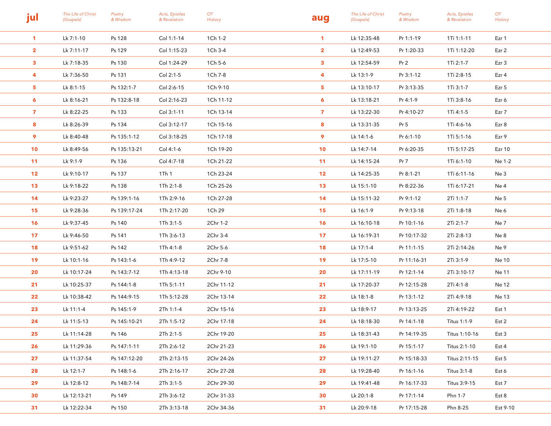| jul             | The Life of Christ<br>(Gospels) | Poetry<br>& Wisdom | Acts, Epistles<br>& Revelation | OT<br>History | aug             | The Life of Christ<br>(Gospels) | Poetry<br>& Wisdom | Acts, Epistles<br>& Revelation | OT<br><b>History</b> |
|-----------------|---------------------------------|--------------------|--------------------------------|---------------|-----------------|---------------------------------|--------------------|--------------------------------|----------------------|
| $\mathbf{1}$    | Lk 7:1-10                       | Ps 128             | Col 1:1-14                     | 1Ch 1-2       | $\mathbf{1}$    | Lk 12:35-48                     | Pr 1:1-19          | 1Ti 1:1-11                     | Ezr 1                |
| $\mathbf{2}$    | Lk 7:11-17                      | Ps 129             | Col 1:15-23                    | 1Ch 3-4       | $\mathbf{2}$    | Lk 12:49-53                     | Pr 1:20-33         | 1Ti 1:12-20                    | Ezr 2                |
| $\mathbf{3}$    | Lk 7:18-35                      | Ps 130             | Col 1:24-29                    | 1Ch 5-6       | $\mathbf{3}$    | Lk 12:54-59                     | Pr <sub>2</sub>    | 1Ti 2:1-7                      | Ezr 3                |
| 4               | Lk 7:36-50                      | Ps 131             | Col 2:1-5                      | 1Ch 7-8       | 4               | Lk 13:1-9                       | Pr 3:1-12          | 1Ti 2:8-15                     | Ezr 4                |
| 5               | Lk 8:1-15                       | Ps 132:1-7         | Col 2:6-15                     | 1Ch 9-10      | 5.              | Lk 13:10-17                     | Pr 3:13-35         | 1Ti 3:1-7                      | Ezr 5                |
| 6               | Lk 8:16-21                      | Ps 132:8-18        | Col 2:16-23                    | 1Ch 11-12     | 6               | Lk 13:18-21                     | Pr 4:1-9           | 1Ti 3:8-16                     | Ezr 6                |
| $\mathbf{7}$    | Lk 8:22-25                      | Ps 133             | Col 3:1-11                     | 1Ch 13-14     | $\mathbf{7}$    | Lk 13:22-30                     | Pr 4:10-27         | 1Ti 4:1-5                      | Ezr 7                |
| 8               | Lk 8:26-39                      | Ps 134             | Col 3:12-17                    | 1Ch 15-16     | 8               | Lk 13:31-35                     | Pr <sub>5</sub>    | 1Ti 4:6-16                     | Ezr 8                |
| 9               | Lk 8:40-48                      | Ps 135:1-12        | Col 3:18-25                    | 1Ch 17-18     | 9               | Lk 14:1-6                       | Pr 6:1-10          | 1Ti 5:1-16                     | Ezr 9                |
| 10              | Lk 8:49-56                      | Ps 135:13-21       | Col 4:1-6                      | 1Ch 19-20     | 10              | Lk 14:7-14                      | Pr 6:20-35         | 1Ti 5:17-25                    | <b>Ezr 10</b>        |
| 11              | Lk 9:1-9                        | Ps 136             | Col 4:7-18                     | 1Ch 21-22     | 11              | Lk 14:15-24                     | Pr <sub>7</sub>    | 1Ti 6:1-10                     | Ne 1-2               |
| 12 <sub>2</sub> | Lk 9:10-17                      | Ps 137             | 1Th 1                          | 1Ch 23-24     | 12 <sub>2</sub> | Lk 14:25-35                     | Pr 8:1-21          | 1Ti 6:11-16                    | Ne 3                 |
| 13              | Lk 9:18-22                      | Ps 138             | 1Th 2:1-8                      | 1Ch 25-26     | 13 <sup>°</sup> | Lk 15:1-10                      | Pr 8:22-36         | 1Ti 6:17-21                    | Ne 4                 |
| 14              | Lk 9:23-27                      | Ps 139:1-16        | 1Th 2:9-16                     | 1Ch 27-28     | 14              | Lk 15:11-32                     | Pr 9:1-12          | 2Ti 1:1-7                      | Ne 5                 |
| 15              | Lk 9:28-36                      | Ps 139:17-24       | 1Th 2:17-20                    | 1Ch 29        | 15              | Lk 16:1-9                       | Pr 9:13-18         | 2Ti 1:8-18                     | Ne 6                 |
| 16              | Lk 9:37-45                      | Ps 140             | 1Th 3:1-5                      | 2Chr 1-2      | 16              | Lk 16:10-18                     | Pr 10:1-16         | 2Ti 2:1-7                      | Ne 7                 |
| 17              | Lk 9:46-50                      | Ps 141             | 1Th 3:6-13                     | 2Chr 3-4      | 17              | Lk 16:19-31                     | Pr 10:17-32        | 2Ti 2:8-13                     | Ne 8                 |
| 18              | Lk 9:51-62                      | Ps 142             | 1Th 4:1-8                      | 2Chr 5-6      | 18              | Lk 17:1-4                       | Pr 11:1-15         | 2Ti 2:14-26                    | Ne 9                 |
| 19              | Lk 10:1-16                      | Ps 143:1-6         | 1Th 4:9-12                     | 2Chr 7-8      | 19              | Lk 17:5-10                      | Pr 11:16-31        | 2Ti 3:1-9                      | Ne 10                |
| 20              | Lk 10:17-24                     | Ps 143:7-12        | 1Th 4:13-18                    | 2Chr 9-10     | 20              | Lk 17:11-19                     | Pr 12:1-14         | 2Ti 3:10-17                    | Ne 11                |
| 21              | Lk 10:25-37                     | Ps 144:1-8         | 1Th 5:1-11                     | 2Chr 11-12    | 21              | Lk 17:20-37                     | Pr 12:15-28        | 2Ti 4:1-8                      | Ne 12                |
| 22              | Lk 10:38-42                     | Ps 144:9-15        | 1Th 5:12-28                    | 2Chr 13-14    | 22              | Lk 18:1-8                       | Pr 13:1-12         | 2Ti 4:9-18                     | Ne 13                |
| 23              | Lk 11:1-4                       | Ps 145:1-9         | 2Th 1:1-4                      | 2Chr 15-16    | 23              | Lk 18:9-17                      | Pr 13:13-25        | 2Ti 4:19-22                    | Est 1                |
| 24              | Lk 11:5-13                      | Ps 145:10-21       | 2Th 1:5-12                     | 2Chr 17-18    | 24              | Lk 18:18-30                     | Pr 14:1-18         | Titus 1:1-9                    | Est 2                |
| 25              | Lk 11:14-28                     | Ps 146             | 2Th 2:1-5                      | 2Chr 19-20    | 25              | Lk 18:31-43                     | Pr 14:19-35        | Titus 1:10-16                  | Est 3                |
| 26              | Lk 11:29-36                     | Ps 147:1-11        | 2Th 2:6-12                     | 2Chr 21-23    | 26              | Lk 19:1-10                      | Pr 15:1-17         | Titus 2:1-10                   | Est 4                |
| 27              | Lk 11:37-54                     | Ps 147:12-20       | 2Th 2:13-15                    | 2Chr 24-26    | 27              | Lk 19:11-27                     | Pr 15:18-33        | Titus 2:11-15                  | Est 5                |
| 28              | Lk 12:1-7                       | Ps 148:1-6         | 2Th 2:16-17                    | 2Chr 27-28    | 28              | Lk 19:28-40                     | Pr 16:1-16         | Titus 3:1-8                    | Est 6                |
| 29              | Lk 12:8-12                      | Ps 148:7-14        | 2Th 3:1-5                      | 2Chr 29-30    | 29              | Lk 19:41-48                     | Pr 16:17-33        | Titus 3:9-15                   | Est 7                |
| 30              | Lk 12:13-21                     | Ps 149             | 2Th 3:6-12                     | 2Chr 31-33    | 30              | Lk 20:1-8                       | Pr 17:1-14         | Phn 1-7                        | Est 8                |
| 31              | Lk 12:22-34                     | Ps 150             | 2Th 3:13-18                    | 2Chr 34-36    | 31 <sup>2</sup> | Lk 20:9-18                      | Pr 17:15-28        | Phn 8-25                       | Est 9-10             |
|                 |                                 |                    |                                |               |                 |                                 |                    |                                |                      |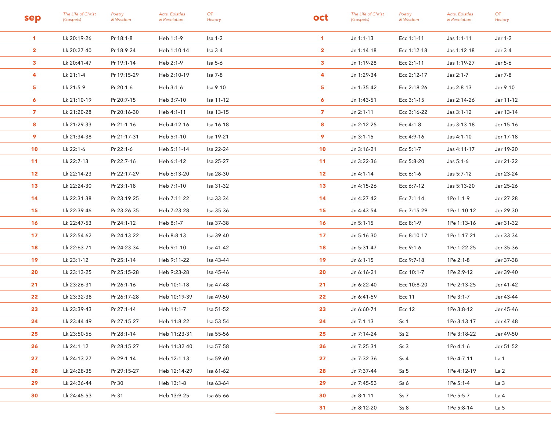| sep             | The Life of Christ<br>(Gospels) | Poetry<br>& Wisdom | Acts, Epistles<br>& Revelation | OT<br>History | oct             | The Life of Christ<br>(Gospels) | Poetry<br>& Wisdom | Acts, Epistles<br>& Revelation | OT<br>History |
|-----------------|---------------------------------|--------------------|--------------------------------|---------------|-----------------|---------------------------------|--------------------|--------------------------------|---------------|
| $\mathbf{1}$    | Lk 20:19-26                     | Pr 18:1-8          | Heb 1:1-9                      | Isa 1-2       | $\mathbf{1}$    | $Jn 1:1-13$                     | Ecc 1:1-11         | Jas 1:1-11                     | Jer 1-2       |
| $\mathbf{2}$    | Lk 20:27-40                     | Pr 18:9-24         | Heb 1:10-14                    | Isa 3-4       | $\mathbf{2}$    | Jn 1:14-18                      | Ecc 1:12-18        | Jas 1:12-18                    | Jer 3-4       |
| $\mathbf{3}$    | Lk 20:41-47                     | Pr 19:1-14         | Heb 2:1-9                      | Isa 5-6       | $\mathbf{3}$    | Jn 1:19-28                      | Ecc 2:1-11         | Jas 1:19-27                    | Jer 5-6       |
| 4               | Lk 21:1-4                       | Pr 19:15-29        | Heb 2:10-19                    | Isa 7-8       | 4               | Jn 1:29-34                      | Ecc 2:12-17        | Jas 2:1-7                      | Jer 7-8       |
| 5.              | Lk 21:5-9                       | Pr 20:1-6          | Heb 3:1-6                      | Isa 9-10      | 5.              | Jn 1:35-42                      | Ecc 2:18-26        | Jas 2:8-13                     | Jer 9-10      |
| 6               | Lk 21:10-19                     | Pr 20:7-15         | Heb 3:7-10                     | Isa 11-12     | 6               | Jn 1:43-51                      | Ecc 3:1-15         | Jas 2:14-26                    | Jer 11-12     |
| $\mathbf{z}$    | Lk 21:20-28                     | Pr 20:16-30        | Heb 4:1-11                     | Isa 13-15     | $\overline{z}$  | $Jn 2:1-11$                     | Ecc 3:16-22        | Jas 3:1-12                     | Jer 13-14     |
| 8               | Lk 21:29-33                     | Pr 21:1-16         | Heb 4:12-16                    | Isa 16-18     | 8               | Jn 2:12-25                      | Ecc 4:1-8          | Jas 3:13-18                    | Jer 15-16     |
| 9               | Lk 21:34-38                     | Pr 21:17-31        | Heb 5:1-10                     | Isa 19-21     | 9               | $Jn 3:1-15$                     | Ecc 4:9-16         | Jas 4:1-10                     | Jer 17-18     |
| 10              | Lk 22:1-6                       | Pr 22:1-6          | Heb 5:11-14                    | Isa 22-24     | 10              | Jn 3:16-21                      | Ecc 5:1-7          | Jas 4:11-17                    | Jer 19-20     |
| 11              | Lk 22:7-13                      | Pr 22:7-16         | Heb 6:1-12                     | lsa 25-27     | 11              | Jn 3:22-36                      | Ecc 5:8-20         | Jas 5:1-6                      | Jer 21-22     |
| 12 <sub>2</sub> | Lk 22:14-23                     | Pr 22:17-29        | Heb 6:13-20                    | Isa 28-30     | 12 <sub>2</sub> | Jn 4:1-14                       | Ecc 6:1-6          | Jas 5:7-12                     | Jer 23-24     |
| 13 <sup>°</sup> | Lk 22:24-30                     | Pr 23:1-18         | Heb 7:1-10                     | Isa 31-32     | 13              | Jn 4:15-26                      | Ecc 6:7-12         | Jas 5:13-20                    | Jer 25-26     |
| 14              | Lk 22:31-38                     | Pr 23:19-25        | Heb 7:11-22                    | Isa 33-34     | 14              | Jn 4:27-42                      | Ecc 7:1-14         | 1Pe 1:1-9                      | Jer 27-28     |
| 15              | Lk 22:39-46                     | Pr 23:26-35        | Heb 7:23-28                    | Isa 35-36     | 15              | Jn 4:43-54                      | Ecc 7:15-29        | 1Pe 1:10-12                    | Jer 29-30     |
| 16              | Lk 22:47-53                     | Pr 24:1-12         | Heb 8:1-7                      | Isa 37-38     | 16              | Jn 5:1-15                       | Ecc 8:1-9          | 1Pe 1:13-16                    | Jer 31-32     |
| 17              | Lk 22:54-62                     | Pr 24:13-22        | Heb 8:8-13                     | Isa 39-40     | 17              | Jn 5:16-30                      | Ecc 8:10-17        | 1Pe 1:17-21                    | Jer 33-34     |
| 18              | Lk 22:63-71                     | Pr 24:23-34        | Heb 9:1-10                     | Isa 41-42     | 18              | Jn 5:31-47                      | Ecc 9:1-6          | 1Pe 1:22-25                    | Jer 35-36     |
| 19              | Lk 23:1-12                      | Pr 25:1-14         | Heb 9:11-22                    | Isa 43-44     | 19              | Jn 6:1-15                       | Ecc 9:7-18         | 1Pe 2:1-8                      | Jer 37-38     |
| 20              | Lk 23:13-25                     | Pr 25:15-28        | Heb 9:23-28                    | Isa 45-46     | 20              | Jn 6:16-21                      | Ecc 10:1-7         | 1Pe 2:9-12                     | Jer 39-40     |
| 21              | Lk 23:26-31                     | Pr 26:1-16         | Heb 10:1-18                    | Isa 47-48     | 21              | Jn 6:22-40                      | Ecc 10:8-20        | 1Pe 2:13-25                    | Jer 41-42     |
| 22              | Lk 23:32-38                     | Pr 26:17-28        | Heb 10:19-39                   | lsa 49-50     | 22              | Jn 6:41-59                      | Ecc 11             | 1Pe 3:1-7                      | Jer 43-44     |
| 23              | Lk 23:39-43                     | Pr 27:1-14         | Heb 11:1-7                     | Isa 51-52     | 23              | Jn 6:60-71                      | <b>Ecc 12</b>      | 1Pe 3:8-12                     | Jer 45-46     |
| 24              | Lk 23:44-49                     | Pr 27:15-27        | Heb 11:8-22                    | lsa 53-54     | 24              | Jn 7:1-13                       | Ss 1               | 1Pe 3:13-17                    | Jer 47-48     |
| 25              | Lk 23:50-56                     | Pr 28:1-14         | Heb 11:23-31                   | Isa 55-56     | 25              | Jn 7:14-24                      | Ss2                | 1Pe 3:18-22                    | Jer 49-50     |
| 26              | Lk 24:1-12                      | Pr 28:15-27        | Heb 11:32-40                   | Isa 57-58     | 26              | Jn 7:25-31                      | Ss <sub>3</sub>    | 1Pe 4:1-6                      | Jer 51-52     |
| 27              | Lk 24:13-27                     | Pr 29:1-14         | Heb 12:1-13                    | lsa 59-60     | 27              | Jn 7:32-36                      | Ss 4               | 1Pe 4:7-11                     | La 1          |
| 28              | Lk 24:28-35                     | Pr 29:15-27        | Heb 12:14-29                   | lsa 61-62     | 28              | Jn 7:37-44                      | Ss <sub>5</sub>    | 1Pe 4:12-19                    | La 2          |
| 29              | Lk 24:36-44                     | Pr 30              | Heb 13:1-8                     | lsa 63-64     | 29              | Jn 7:45-53                      | Ss 6               | 1Pe 5:1-4                      | La 3          |
| 30              | Lk 24:45-53                     | Pr 31              | Heb 13:9-25                    | Isa 65-66     | 30              | Jn 8:1-11                       | Ss 7               | 1Pe 5:5-7                      | La 4          |
|                 |                                 |                    |                                |               | 31 <sup>2</sup> | Jn 8:12-20                      | Ss8                | 1Pe 5:8-14                     | La 5          |